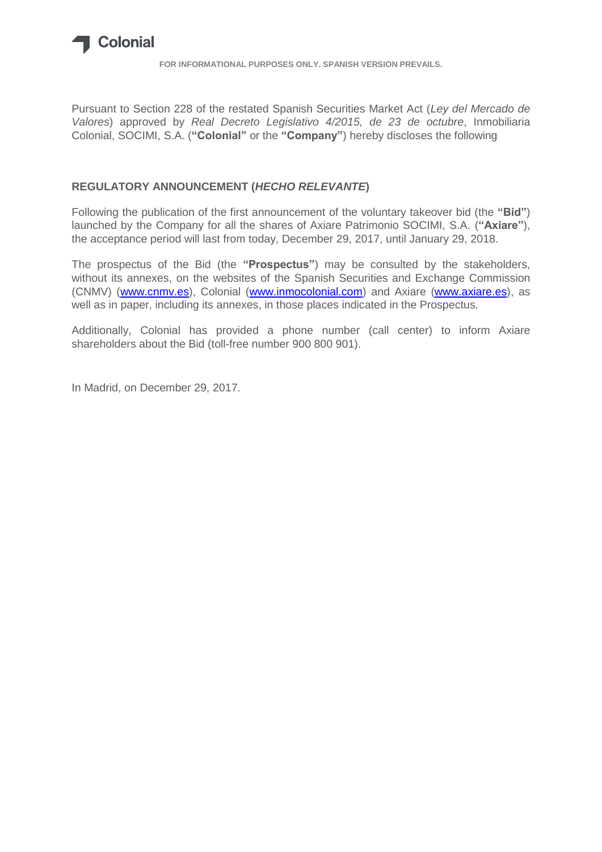

**FOR INFORMATIONAL PURPOSES ONLY. SPANISH VERSION PREVAILS.**

Pursuant to Section 228 of the restated Spanish Securities Market Act (*Ley del Mercado de Valores*) approved by *Real Decreto Legislativo 4/2015, de 23 de octubre*, Inmobiliaria Colonial, SOCIMI, S.A. (**"Colonial"** or the **"Company"**) hereby discloses the following

## **REGULATORY ANNOUNCEMENT (***HECHO RELEVANTE***)**

Following the publication of the first announcement of the voluntary takeover bid (the **"Bid"**) launched by the Company for all the shares of Axiare Patrimonio SOCIMI, S.A. (**"Axiare"**), the acceptance period will last from today, December 29, 2017, until January 29, 2018.

The prospectus of the Bid (the **"Prospectus"**) may be consulted by the stakeholders, without its annexes, on the websites of the Spanish Securities and Exchange Commission (CNMV) [\(www.cnmv.es\)](http://www.cnmv.es/), Colonial [\(www.inmocolonial.com\)](http://www.inmocolonial.com/) and Axiare [\(www.axiare.es\)](http://www.axiare.es/), as well as in paper, including its annexes, in those places indicated in the Prospectus.

Additionally, Colonial has provided a phone number (call center) to inform Axiare shareholders about the Bid (toll-free number 900 800 901).

In Madrid, on December 29, 2017.